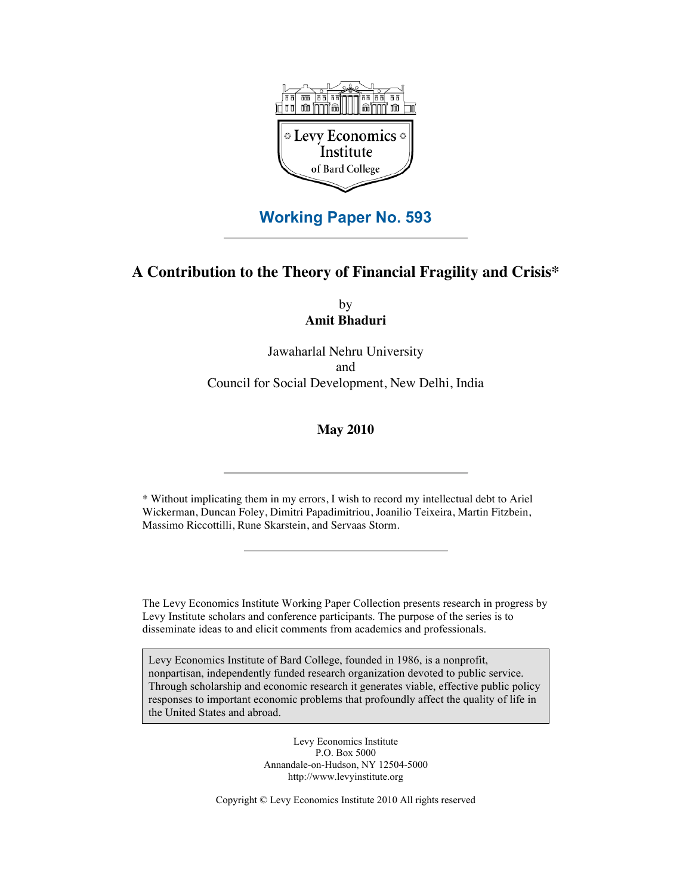

# **Working Paper No. 593**

# **A Contribution to the Theory of Financial Fragility and Crisis\***

by **Amit Bhaduri**

Jawaharlal Nehru University and Council for Social Development, New Delhi, India

### **May 2010**

\* Without implicating them in my errors, I wish to record my intellectual debt to Ariel Wickerman, Duncan Foley, Dimitri Papadimitriou, Joanilio Teixeira, Martin Fitzbein, Massimo Riccottilli, Rune Skarstein, and Servaas Storm.

The Levy Economics Institute Working Paper Collection presents research in progress by Levy Institute scholars and conference participants. The purpose of the series is to disseminate ideas to and elicit comments from academics and professionals.

Levy Economics Institute of Bard College, founded in 1986, is a nonprofit, nonpartisan, independently funded research organization devoted to public service. Through scholarship and economic research it generates viable, effective public policy responses to important economic problems that profoundly affect the quality of life in the United States and abroad.

> Levy Economics Institute P.O. Box 5000 Annandale-on-Hudson, NY 12504-5000 http://www.levyinstitute.org

Copyright © Levy Economics Institute 2010 All rights reserved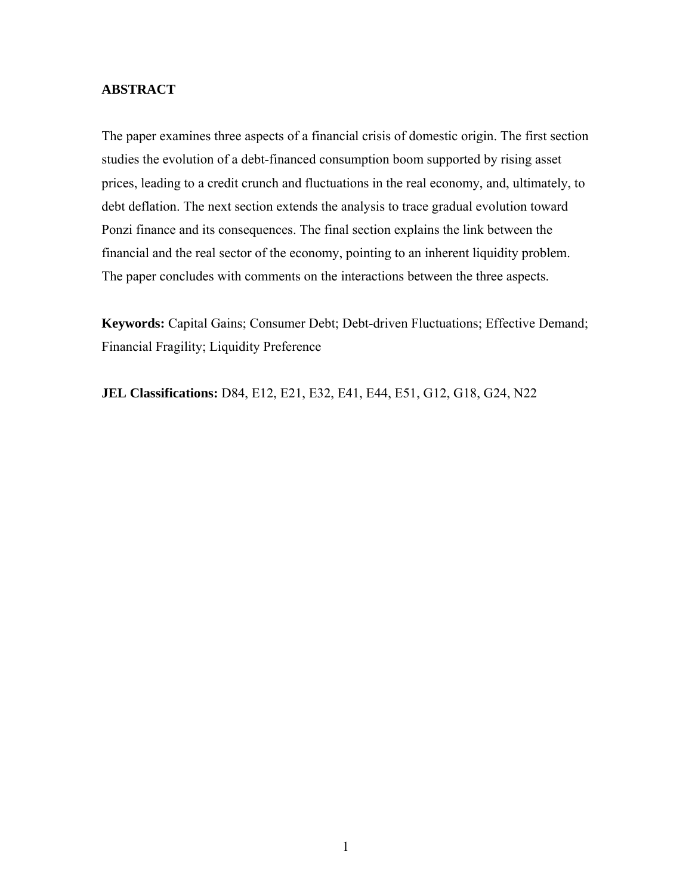### **ABSTRACT**

The paper examines three aspects of a financial crisis of domestic origin. The first section studies the evolution of a debt-financed consumption boom supported by rising asset prices, leading to a credit crunch and fluctuations in the real economy, and, ultimately, to debt deflation. The next section extends the analysis to trace gradual evolution toward Ponzi finance and its consequences. The final section explains the link between the financial and the real sector of the economy, pointing to an inherent liquidity problem. The paper concludes with comments on the interactions between the three aspects.

**Keywords:** Capital Gains; Consumer Debt; Debt-driven Fluctuations; Effective Demand; Financial Fragility; Liquidity Preference

**JEL Classifications:** D84, E12, E21, E32, E41, E44, E51, G12, G18, G24, N22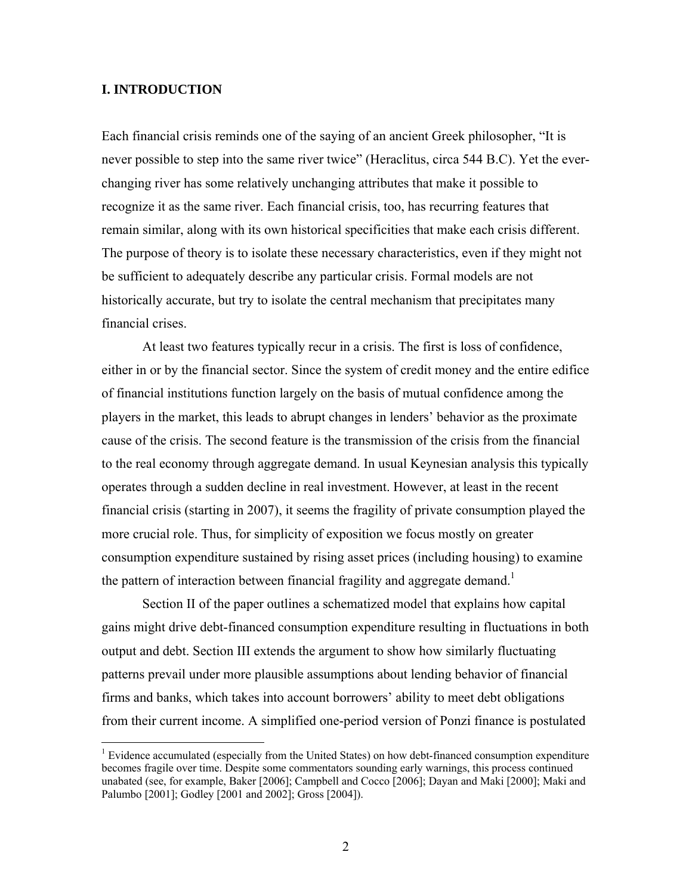### **I. INTRODUCTION**

 $\overline{a}$ 

Each financial crisis reminds one of the saying of an ancient Greek philosopher, "It is never possible to step into the same river twice" (Heraclitus, circa 544 B.C). Yet the everchanging river has some relatively unchanging attributes that make it possible to recognize it as the same river. Each financial crisis, too, has recurring features that remain similar, along with its own historical specificities that make each crisis different. The purpose of theory is to isolate these necessary characteristics, even if they might not be sufficient to adequately describe any particular crisis. Formal models are not historically accurate, but try to isolate the central mechanism that precipitates many financial crises.

At least two features typically recur in a crisis. The first is loss of confidence, either in or by the financial sector. Since the system of credit money and the entire edifice of financial institutions function largely on the basis of mutual confidence among the players in the market, this leads to abrupt changes in lenders' behavior as the proximate cause of the crisis. The second feature is the transmission of the crisis from the financial to the real economy through aggregate demand. In usual Keynesian analysis this typically operates through a sudden decline in real investment. However, at least in the recent financial crisis (starting in 2007), it seems the fragility of private consumption played the more crucial role. Thus, for simplicity of exposition we focus mostly on greater consumption expenditure sustained by rising asset prices (including housing) to examine the pattern of interaction between financial fragility and aggregate demand.<sup>1</sup>

Section II of the paper outlines a schematized model that explains how capital gains might drive debt-financed consumption expenditure resulting in fluctuations in both output and debt. Section III extends the argument to show how similarly fluctuating patterns prevail under more plausible assumptions about lending behavior of financial firms and banks, which takes into account borrowers' ability to meet debt obligations from their current income. A simplified one-period version of Ponzi finance is postulated

<sup>&</sup>lt;sup>1</sup> Evidence accumulated (especially from the United States) on how debt-financed consumption expenditure becomes fragile over time. Despite some commentators sounding early warnings, this process continued unabated (see, for example, Baker [2006]; Campbell and Cocco [2006]; Dayan and Maki [2000]; Maki and Palumbo [2001]; Godley [2001 and 2002]; Gross [2004]).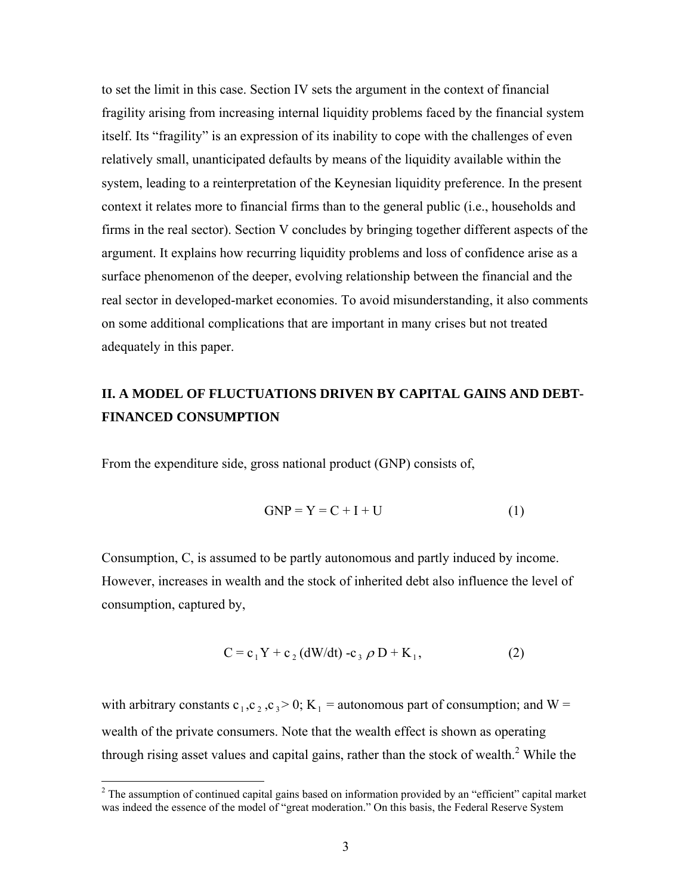to set the limit in this case. Section IV sets the argument in the context of financial fragility arising from increasing internal liquidity problems faced by the financial system itself. Its "fragility" is an expression of its inability to cope with the challenges of even relatively small, unanticipated defaults by means of the liquidity available within the system, leading to a reinterpretation of the Keynesian liquidity preference. In the present context it relates more to financial firms than to the general public (i.e., households and firms in the real sector). Section V concludes by bringing together different aspects of the argument. It explains how recurring liquidity problems and loss of confidence arise as a surface phenomenon of the deeper, evolving relationship between the financial and the real sector in developed-market economies. To avoid misunderstanding, it also comments on some additional complications that are important in many crises but not treated adequately in this paper.

# **II. A MODEL OF FLUCTUATIONS DRIVEN BY CAPITAL GAINS AND DEBT-FINANCED CONSUMPTION**

From the expenditure side, gross national product (GNP) consists of,

$$
GNP = Y = C + I + U \tag{1}
$$

Consumption, C, is assumed to be partly autonomous and partly induced by income. However, increases in wealth and the stock of inherited debt also influence the level of consumption, captured by,

$$
C = c_1 Y + c_2 (dW/dt) - c_3 \rho D + K_1,
$$
 (2)

with arbitrary constants  $c_1$ ,  $c_2$ ,  $c_3$  > 0;  $K_1$  = autonomous part of consumption; and W = wealth of the private consumers. Note that the wealth effect is shown as operating through rising asset values and capital gains, rather than the stock of wealth. $2$  While the

 $2^2$  The assumption of continued capital gains based on information provided by an "efficient" capital market was indeed the essence of the model of "great moderation." On this basis, the Federal Reserve System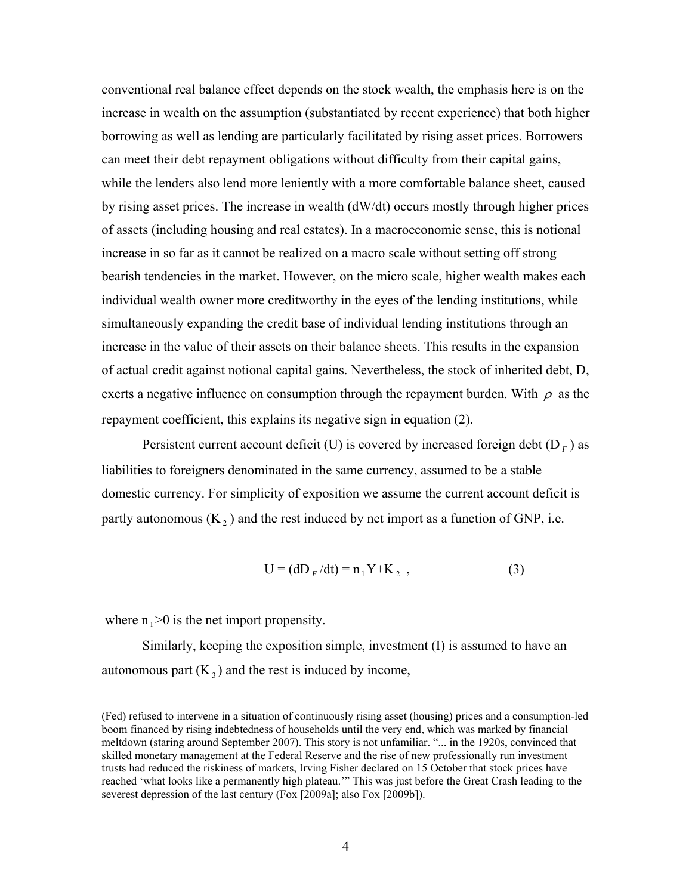conventional real balance effect depends on the stock wealth, the emphasis here is on the increase in wealth on the assumption (substantiated by recent experience) that both higher borrowing as well as lending are particularly facilitated by rising asset prices. Borrowers can meet their debt repayment obligations without difficulty from their capital gains, while the lenders also lend more leniently with a more comfortable balance sheet, caused by rising asset prices. The increase in wealth (dW/dt) occurs mostly through higher prices of assets (including housing and real estates). In a macroeconomic sense, this is notional increase in so far as it cannot be realized on a macro scale without setting off strong bearish tendencies in the market. However, on the micro scale, higher wealth makes each individual wealth owner more creditworthy in the eyes of the lending institutions, while simultaneously expanding the credit base of individual lending institutions through an increase in the value of their assets on their balance sheets. This results in the expansion of actual credit against notional capital gains. Nevertheless, the stock of inherited debt, D, exerts a negative influence on consumption through the repayment burden. With  $\rho$  as the repayment coefficient, this explains its negative sign in equation (2).

Persistent current account deficit (U) is covered by increased foreign debt (D<sub>F</sub>) as liabilities to foreigners denominated in the same currency, assumed to be a stable domestic currency. For simplicity of exposition we assume the current account deficit is partly autonomous  $(K_2)$  and the rest induced by net import as a function of GNP, i.e.

$$
U = (dDF/dt) = n1Y+K2, \t(3)
$$

where  $n_1$  >0 is the net import propensity.

Similarly, keeping the exposition simple, investment (I) is assumed to have an autonomous part  $(K_3)$  and the rest is induced by income,

 <sup>(</sup>Fed) refused to intervene in a situation of continuously rising asset (housing) prices and a consumption-led boom financed by rising indebtedness of households until the very end, which was marked by financial meltdown (staring around September 2007). This story is not unfamiliar. "... in the 1920s, convinced that skilled monetary management at the Federal Reserve and the rise of new professionally run investment trusts had reduced the riskiness of markets, Irving Fisher declared on 15 October that stock prices have reached 'what looks like a permanently high plateau.'" This was just before the Great Crash leading to the severest depression of the last century (Fox [2009a]; also Fox [2009b]).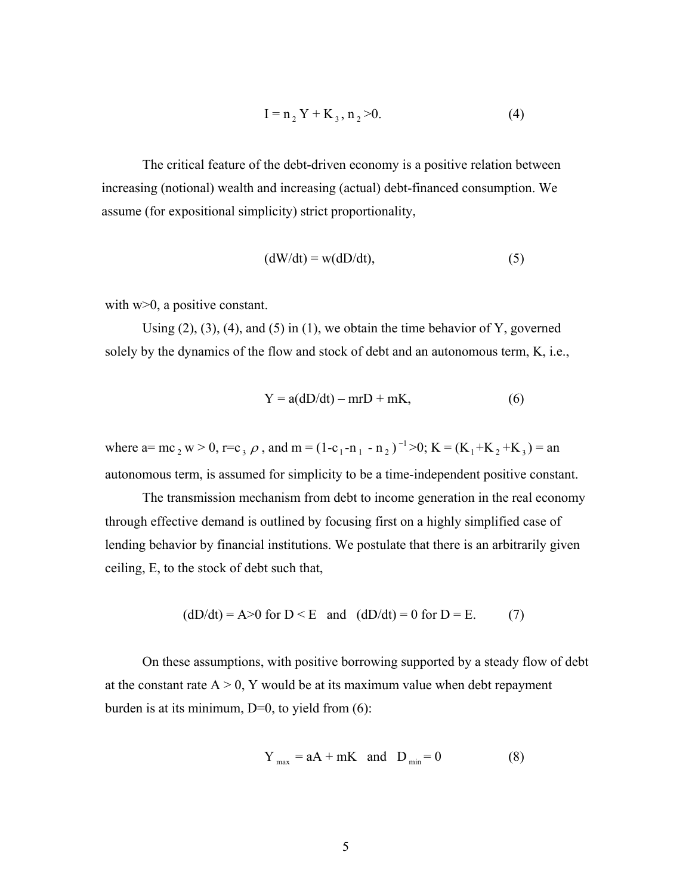$$
I = n_2 Y + K_3, n_2 > 0.
$$
 (4)

The critical feature of the debt-driven economy is a positive relation between increasing (notional) wealth and increasing (actual) debt-financed consumption. We assume (for expositional simplicity) strict proportionality,

$$
(dW/dt) = w(dD/dt), \tag{5}
$$

with w>0, a positive constant.

Using  $(2)$ ,  $(3)$ ,  $(4)$ , and  $(5)$  in  $(1)$ , we obtain the time behavior of Y, governed solely by the dynamics of the flow and stock of debt and an autonomous term, K, i.e.,

$$
Y = a(dD/dt) - mrD + mK,
$$
 (6)

where  $a=mc_2 w > 0$ ,  $r=c_3 \rho$ , and  $m = (1-c_1-n_1-n_2)^{-1} > 0$ ;  $K = (K_1 + K_2 + K_3) = an$ autonomous term, is assumed for simplicity to be a time-independent positive constant.

The transmission mechanism from debt to income generation in the real economy through effective demand is outlined by focusing first on a highly simplified case of lending behavior by financial institutions. We postulate that there is an arbitrarily given ceiling, E, to the stock of debt such that,

$$
(dD/dt) = A > 0 \text{ for } D < E \text{ and } (dD/dt) = 0 \text{ for } D = E. \tag{7}
$$

On these assumptions, with positive borrowing supported by a steady flow of debt at the constant rate  $A > 0$ , Y would be at its maximum value when debt repayment burden is at its minimum,  $D=0$ , to yield from (6):

$$
Y_{\text{max}} = aA + mK \quad \text{and} \quad D_{\text{min}} = 0 \tag{8}
$$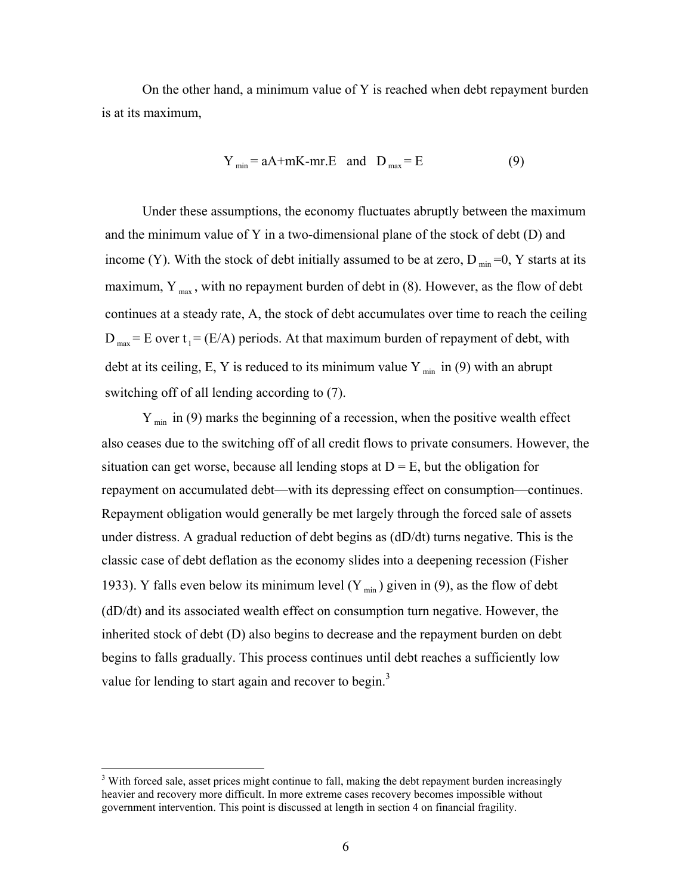On the other hand, a minimum value of Y is reached when debt repayment burden is at its maximum,

$$
Y_{min} = aA + mK - mr.E \text{ and } D_{max} = E
$$
 (9)

Under these assumptions, the economy fluctuates abruptly between the maximum and the minimum value of Y in a two-dimensional plane of the stock of debt (D) and income (Y). With the stock of debt initially assumed to be at zero,  $D_{min} = 0$ , Y starts at its maximum,  $Y_{\text{max}}$ , with no repayment burden of debt in (8). However, as the flow of debt continues at a steady rate, A, the stock of debt accumulates over time to reach the ceiling  $D_{\text{max}}$  = E over t<sub>1</sub> = (E/A) periods. At that maximum burden of repayment of debt, with debt at its ceiling, E, Y is reduced to its minimum value  $Y_{min}$  in (9) with an abrupt switching off of all lending according to (7).

 $Y_{\text{min}}$  in (9) marks the beginning of a recession, when the positive wealth effect also ceases due to the switching off of all credit flows to private consumers. However, the situation can get worse, because all lending stops at  $D = E$ , but the obligation for repayment on accumulated debt—with its depressing effect on consumption—continues. Repayment obligation would generally be met largely through the forced sale of assets under distress. A gradual reduction of debt begins as  $(dD/dt)$  turns negative. This is the classic case of debt deflation as the economy slides into a deepening recession (Fisher 1933). Y falls even below its minimum level  $(Y_{min})$  given in (9), as the flow of debt (dD/dt) and its associated wealth effect on consumption turn negative. However, the inherited stock of debt (D) also begins to decrease and the repayment burden on debt begins to falls gradually. This process continues until debt reaches a sufficiently low value for lending to start again and recover to begin. $3$ 

<sup>&</sup>lt;sup>3</sup> With forced sale, asset prices might continue to fall, making the debt repayment burden increasingly heavier and recovery more difficult. In more extreme cases recovery becomes impossible without government intervention. This point is discussed at length in section 4 on financial fragility.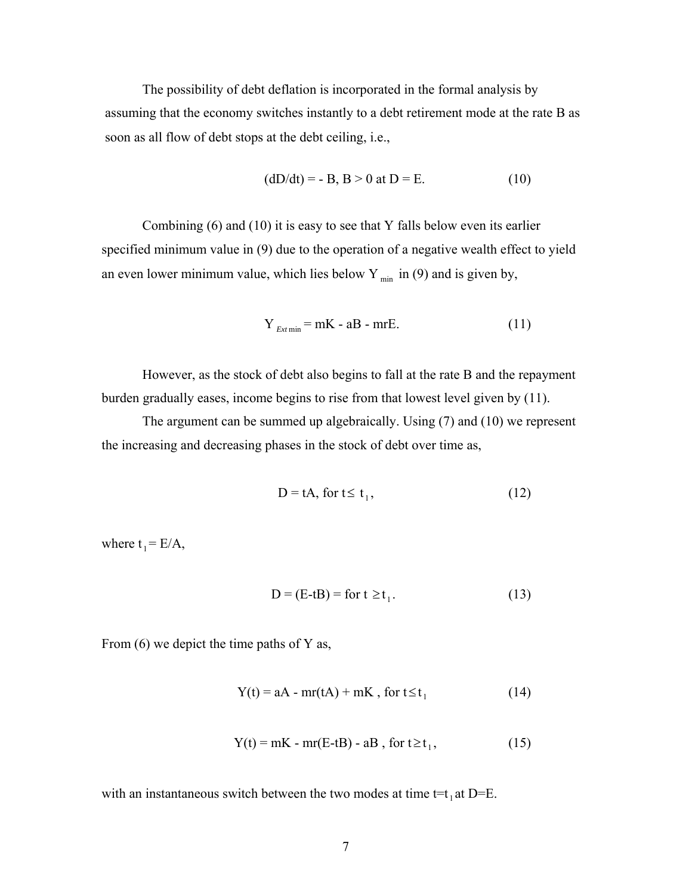The possibility of debt deflation is incorporated in the formal analysis by assuming that the economy switches instantly to a debt retirement mode at the rate B as soon as all flow of debt stops at the debt ceiling, i.e.,

$$
(dD/dt) = -B, B > 0 \text{ at } D = E.
$$
 (10)

Combining (6) and (10) it is easy to see that Y falls below even its earlier specified minimum value in (9) due to the operation of a negative wealth effect to yield an even lower minimum value, which lies below  $Y_{\text{min}}$  in (9) and is given by,

$$
Y_{Exr\min} = mK - aB - mrE.
$$
 (11)

However, as the stock of debt also begins to fall at the rate B and the repayment burden gradually eases, income begins to rise from that lowest level given by (11).

The argument can be summed up algebraically. Using (7) and (10) we represent the increasing and decreasing phases in the stock of debt over time as,

$$
D = tA, for t \le t_1,
$$
\n(12)

where  $t_1 = E/A$ ,

$$
D = (E - tB) = \text{for } t \ge t_1. \tag{13}
$$

From (6) we depict the time paths of Y as,

$$
Y(t) = aA - mr(tA) + mK , \text{ for } t \le t_1
$$
 (14)

$$
Y(t) = mK - mr(E - tB) - aB, \text{ for } t \ge t_1,
$$
 (15)

with an instantaneous switch between the two modes at time  $t=t<sub>1</sub>$  at D=E.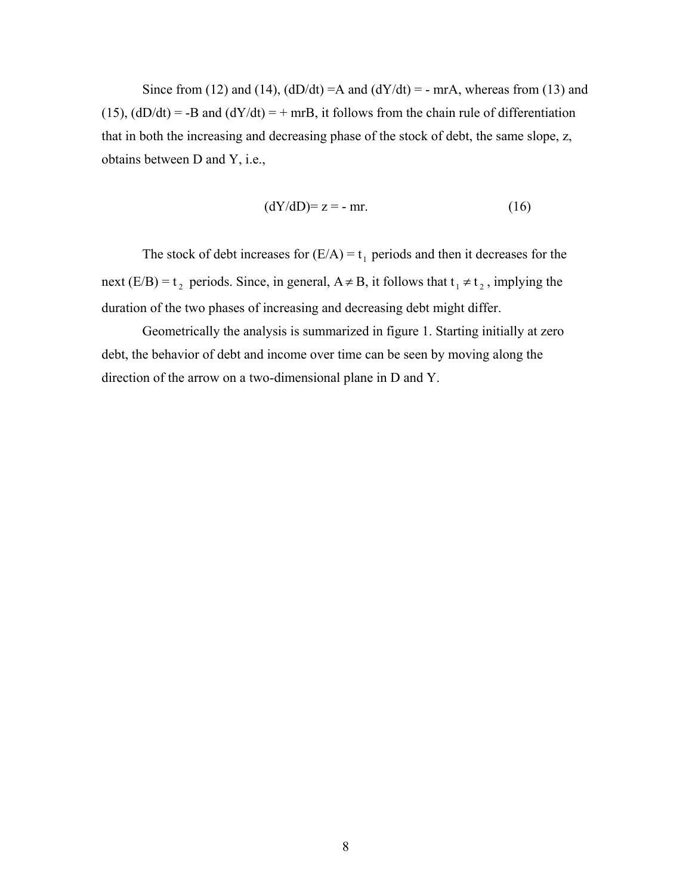Since from (12) and (14),  $(dD/dt) = A$  and  $(dY/dt) = - mTA$ , whereas from (13) and (15),  $(dD/dt) = -B$  and  $(dY/dt) = + mrB$ , it follows from the chain rule of differentiation that in both the increasing and decreasing phase of the stock of debt, the same slope, z, obtains between D and Y, i.e.,

$$
(dY/dD)=z=-mr.\t(16)
$$

The stock of debt increases for  $(E/A) = t_1$  periods and then it decreases for the next (E/B) = t<sub>2</sub> periods. Since, in general,  $A \neq B$ , it follows that  $t_1 \neq t_2$ , implying the duration of the two phases of increasing and decreasing debt might differ.

Geometrically the analysis is summarized in figure 1. Starting initially at zero debt, the behavior of debt and income over time can be seen by moving along the direction of the arrow on a two-dimensional plane in D and Y.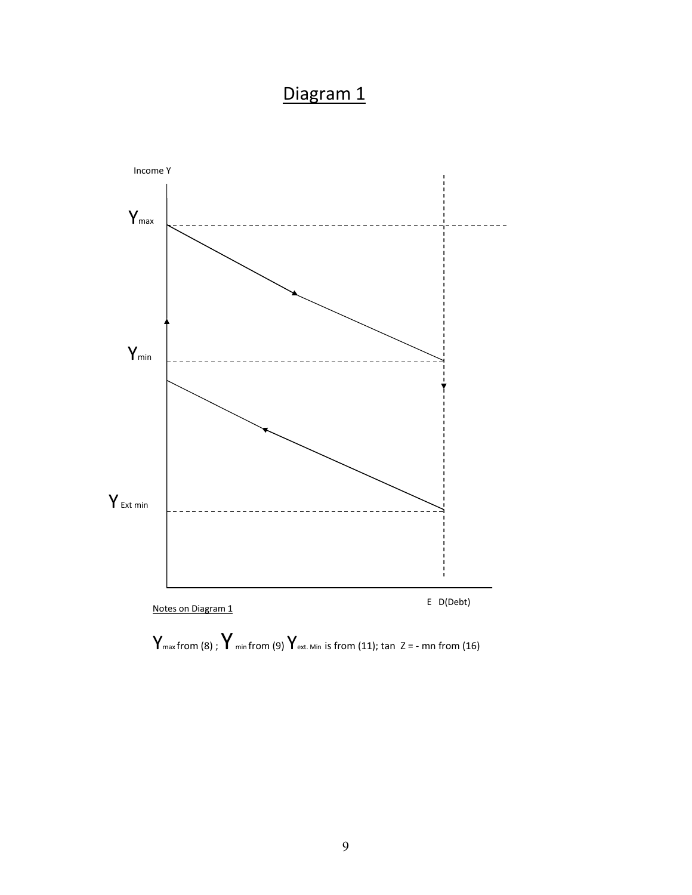# Diagram 1

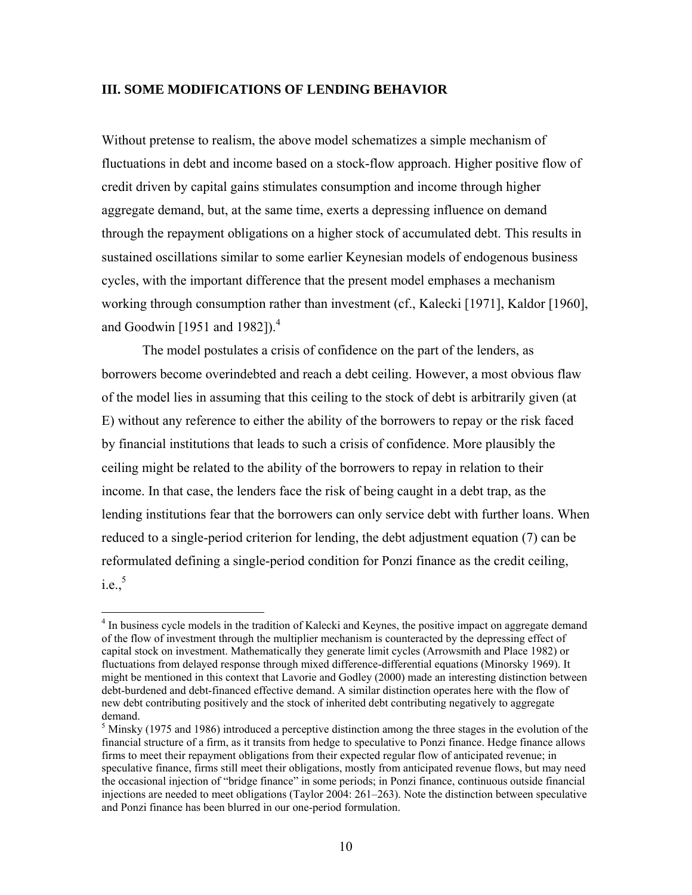### **III. SOME MODIFICATIONS OF LENDING BEHAVIOR**

Without pretense to realism, the above model schematizes a simple mechanism of fluctuations in debt and income based on a stock-flow approach. Higher positive flow of credit driven by capital gains stimulates consumption and income through higher aggregate demand, but, at the same time, exerts a depressing influence on demand through the repayment obligations on a higher stock of accumulated debt. This results in sustained oscillations similar to some earlier Keynesian models of endogenous business cycles, with the important difference that the present model emphases a mechanism working through consumption rather than investment (cf., Kalecki [1971], Kaldor [1960], and Goodwin [1951 and 1982]).<sup>4</sup>

The model postulates a crisis of confidence on the part of the lenders, as borrowers become overindebted and reach a debt ceiling. However, a most obvious flaw of the model lies in assuming that this ceiling to the stock of debt is arbitrarily given (at E) without any reference to either the ability of the borrowers to repay or the risk faced by financial institutions that leads to such a crisis of confidence. More plausibly the ceiling might be related to the ability of the borrowers to repay in relation to their income. In that case, the lenders face the risk of being caught in a debt trap, as the lending institutions fear that the borrowers can only service debt with further loans. When reduced to a single-period criterion for lending, the debt adjustment equation (7) can be reformulated defining a single-period condition for Ponzi finance as the credit ceiling, i.e., $5$ 

<sup>&</sup>lt;sup>4</sup> In business cycle models in the tradition of Kalecki and Keynes, the positive impact on aggregate demand of the flow of investment through the multiplier mechanism is counteracted by the depressing effect of capital stock on investment. Mathematically they generate limit cycles (Arrowsmith and Place 1982) or fluctuations from delayed response through mixed difference-differential equations (Minorsky 1969). It might be mentioned in this context that Lavorie and Godley (2000) made an interesting distinction between debt-burdened and debt-financed effective demand. A similar distinction operates here with the flow of new debt contributing positively and the stock of inherited debt contributing negatively to aggregate demand.

 $<sup>5</sup>$  Minsky (1975 and 1986) introduced a perceptive distinction among the three stages in the evolution of the</sup> financial structure of a firm, as it transits from hedge to speculative to Ponzi finance. Hedge finance allows firms to meet their repayment obligations from their expected regular flow of anticipated revenue; in speculative finance, firms still meet their obligations, mostly from anticipated revenue flows, but may need the occasional injection of "bridge finance" in some periods; in Ponzi finance, continuous outside financial injections are needed to meet obligations (Taylor 2004: 261–263). Note the distinction between speculative and Ponzi finance has been blurred in our one-period formulation.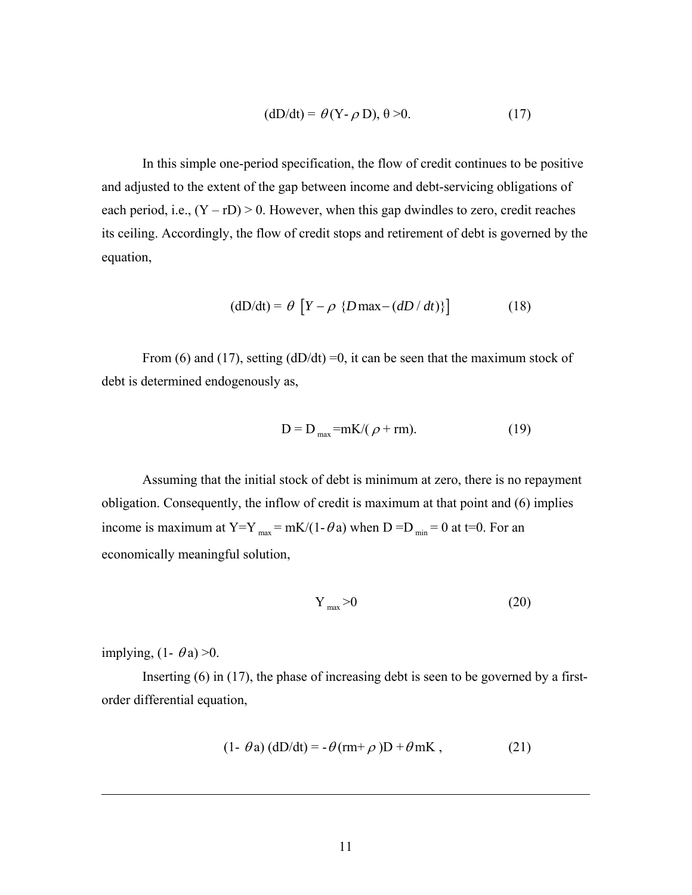$$
(\text{d}D/\text{d}t) = \theta(Y - \rho D), \theta > 0. \tag{17}
$$

In this simple one-period specification, the flow of credit continues to be positive and adjusted to the extent of the gap between income and debt-servicing obligations of each period, i.e.,  $(Y - rD) > 0$ . However, when this gap dwindles to zero, credit reaches its ceiling. Accordingly, the flow of credit stops and retirement of debt is governed by the equation,

$$
(dD/dt) = \theta \left[ Y - \rho \left\{ D \max - (dD/dt) \right\} \right] \tag{18}
$$

From (6) and (17), setting (dD/dt) =0, it can be seen that the maximum stock of debt is determined endogenously as,

$$
D = D_{\text{max}} = mK/(\rho + rm). \tag{19}
$$

Assuming that the initial stock of debt is minimum at zero, there is no repayment obligation. Consequently, the inflow of credit is maximum at that point and (6) implies income is maximum at Y=Y  $_{\text{max}} = \text{mK}/(1-\theta a)$  when D =D  $_{\text{min}} = 0$  at t=0. For an economically meaningful solution,

$$
Y_{\text{max}} > 0 \tag{20}
$$

implying,  $(1 - \theta a) > 0$ .

<u>.</u>

Inserting (6) in (17), the phase of increasing debt is seen to be governed by a firstorder differential equation,

$$
(1 - \theta a) (dD/dt) = -\theta (rm + \rho) D + \theta mK , \qquad (21)
$$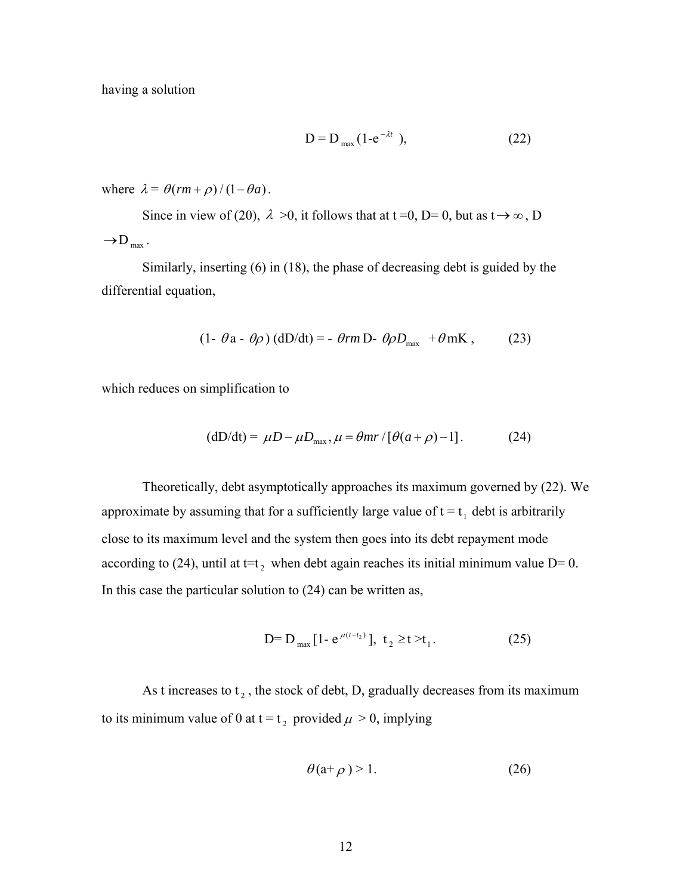having a solution

$$
D = D_{\text{max}} (1 - e^{-\lambda t}), \qquad (22)
$$

where  $\lambda = \theta (rm + \rho) / (1 - \theta a)$ .

Since in view of (20),  $\lambda > 0$ , it follows that at t =0, D= 0, but as t  $\rightarrow \infty$ , D  $\rightarrow$ D<sub>max</sub>.

Similarly, inserting (6) in (18), the phase of decreasing debt is guided by the differential equation,

$$
(1 - \theta \mathbf{a} - \theta \rho) (\mathbf{d} \mathbf{D} / \mathbf{d} \mathbf{t}) = - \theta r m \mathbf{D} - \theta \rho D_{\text{max}} + \theta m \mathbf{K}, \qquad (23)
$$

which reduces on simplification to

$$
(\text{d}D/\text{d}t) = \mu D - \mu D_{\text{max}}, \mu = \theta m r / [\theta(a + \rho) - 1]. \tag{24}
$$

Theoretically, debt asymptotically approaches its maximum governed by (22). We approximate by assuming that for a sufficiently large value of  $t = t_1$  debt is arbitrarily close to its maximum level and the system then goes into its debt repayment mode according to (24), until at  $t=t_2$  when debt again reaches its initial minimum value D= 0. In this case the particular solution to (24) can be written as,

$$
D = D_{\text{max}} \left[ 1 - e^{\mu(t - t_2)} \right], \ t_2 \ge t > t_1. \tag{25}
$$

As t increases to  $t_2$ , the stock of debt, D, gradually decreases from its maximum to its minimum value of 0 at  $t = t_2$  provided  $\mu > 0$ , implying

$$
\theta(\mathbf{a}^+\rho) > 1. \tag{26}
$$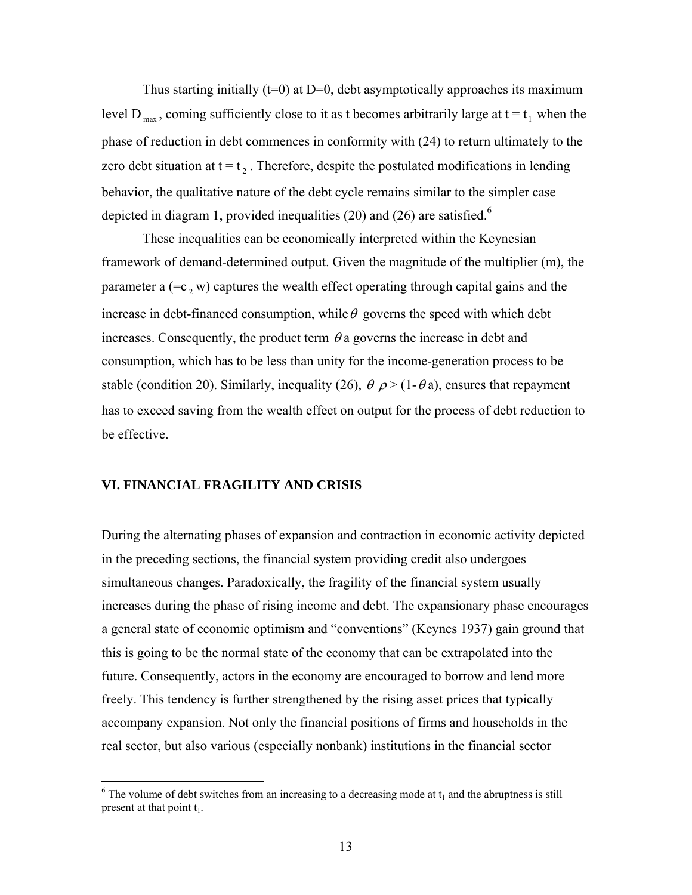Thus starting initially ( $t=0$ ) at D=0, debt asymptotically approaches its maximum level D<sub>max</sub>, coming sufficiently close to it as t becomes arbitrarily large at  $t = t_1$ , when the phase of reduction in debt commences in conformity with (24) to return ultimately to the zero debt situation at  $t = t<sub>2</sub>$ . Therefore, despite the postulated modifications in lending behavior, the qualitative nature of the debt cycle remains similar to the simpler case depicted in diagram 1, provided inequalities (20) and (26) are satisfied.<sup>6</sup>

These inequalities can be economically interpreted within the Keynesian framework of demand-determined output. Given the magnitude of the multiplier (m), the parameter a  $(=c<sub>2</sub> w)$  captures the wealth effect operating through capital gains and the increase in debt-financed consumption, while  $\theta$  governs the speed with which debt increases. Consequently, the product term  $\theta$  a governs the increase in debt and consumption, which has to be less than unity for the income-generation process to be stable (condition 20). Similarly, inequality (26),  $\theta \rho$  > (1- $\theta$ a), ensures that repayment has to exceed saving from the wealth effect on output for the process of debt reduction to be effective.

### **VI. FINANCIAL FRAGILITY AND CRISIS**

During the alternating phases of expansion and contraction in economic activity depicted in the preceding sections, the financial system providing credit also undergoes simultaneous changes. Paradoxically, the fragility of the financial system usually increases during the phase of rising income and debt. The expansionary phase encourages a general state of economic optimism and "conventions" (Keynes 1937) gain ground that this is going to be the normal state of the economy that can be extrapolated into the future. Consequently, actors in the economy are encouraged to borrow and lend more freely. This tendency is further strengthened by the rising asset prices that typically accompany expansion. Not only the financial positions of firms and households in the real sector, but also various (especially nonbank) institutions in the financial sector

<sup>&</sup>lt;sup>6</sup> The volume of debt switches from an increasing to a decreasing mode at  $t_1$  and the abruptness is still present at that point  $t_1$ .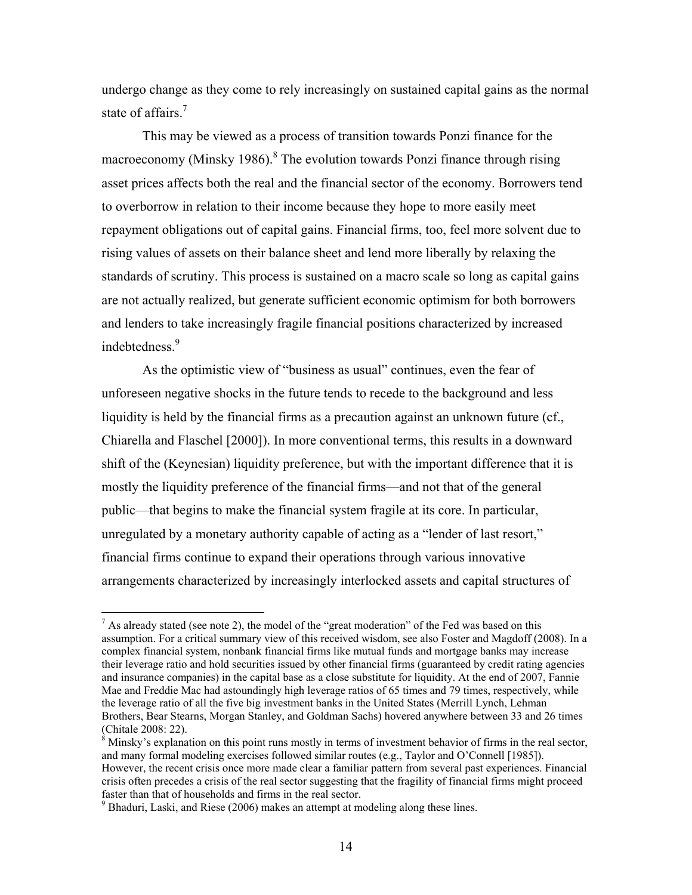undergo change as they come to rely increasingly on sustained capital gains as the normal state of affairs.<sup>7</sup>

This may be viewed as a process of transition towards Ponzi finance for the macroeconomy (Minsky 1986). $8$  The evolution towards Ponzi finance through rising asset prices affects both the real and the financial sector of the economy. Borrowers tend to overborrow in relation to their income because they hope to more easily meet repayment obligations out of capital gains. Financial firms, too, feel more solvent due to rising values of assets on their balance sheet and lend more liberally by relaxing the standards of scrutiny. This process is sustained on a macro scale so long as capital gains are not actually realized, but generate sufficient economic optimism for both borrowers and lenders to take increasingly fragile financial positions characterized by increased indebtedness.<sup>9</sup>

As the optimistic view of "business as usual" continues, even the fear of unforeseen negative shocks in the future tends to recede to the background and less liquidity is held by the financial firms as a precaution against an unknown future (cf., Chiarella and Flaschel [2000]). In more conventional terms, this results in a downward shift of the (Keynesian) liquidity preference, but with the important difference that it is mostly the liquidity preference of the financial firms—and not that of the general public—that begins to make the financial system fragile at its core. In particular, unregulated by a monetary authority capable of acting as a "lender of last resort," financial firms continue to expand their operations through various innovative arrangements characterized by increasingly interlocked assets and capital structures of

 $<sup>7</sup>$  As already stated (see note 2), the model of the "great moderation" of the Fed was based on this</sup> assumption. For a critical summary view of this received wisdom, see also Foster and Magdoff (2008). In a complex financial system, nonbank financial firms like mutual funds and mortgage banks may increase their leverage ratio and hold securities issued by other financial firms (guaranteed by credit rating agencies and insurance companies) in the capital base as a close substitute for liquidity. At the end of 2007, Fannie Mae and Freddie Mac had astoundingly high leverage ratios of 65 times and 79 times, respectively, while the leverage ratio of all the five big investment banks in the United States (Merrill Lynch, Lehman Brothers, Bear Stearns, Morgan Stanley, and Goldman Sachs) hovered anywhere between 33 and 26 times (Chitale 2008: 22).

 $8$  Minsky's explanation on this point runs mostly in terms of investment behavior of firms in the real sector, and many formal modeling exercises followed similar routes (e.g., Taylor and O'Connell [1985]). However, the recent crisis once more made clear a familiar pattern from several past experiences. Financial crisis often precedes a crisis of the real sector suggesting that the fragility of financial firms might proceed faster than that of households and firms in the real sector.

 $9^9$  Bhaduri, Laski, and Riese (2006) makes an attempt at modeling along these lines.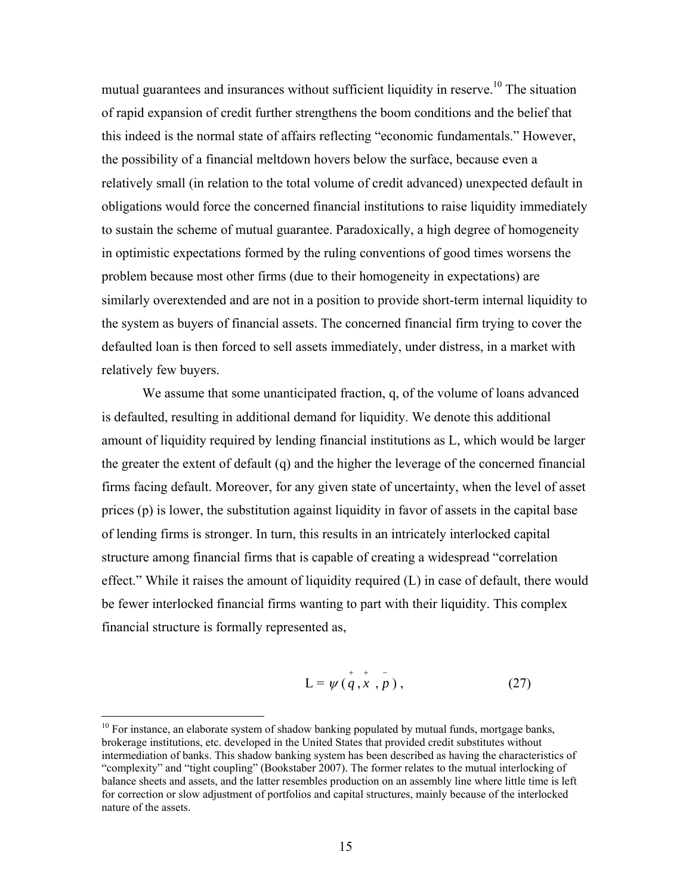mutual guarantees and insurances without sufficient liquidity in reserve.<sup>10</sup> The situation of rapid expansion of credit further strengthens the boom conditions and the belief that this indeed is the normal state of affairs reflecting "economic fundamentals." However, the possibility of a financial meltdown hovers below the surface, because even a relatively small (in relation to the total volume of credit advanced) unexpected default in obligations would force the concerned financial institutions to raise liquidity immediately to sustain the scheme of mutual guarantee. Paradoxically, a high degree of homogeneity in optimistic expectations formed by the ruling conventions of good times worsens the problem because most other firms (due to their homogeneity in expectations) are similarly overextended and are not in a position to provide short-term internal liquidity to the system as buyers of financial assets. The concerned financial firm trying to cover the defaulted loan is then forced to sell assets immediately, under distress, in a market with relatively few buyers.

We assume that some unanticipated fraction, q, of the volume of loans advanced is defaulted, resulting in additional demand for liquidity. We denote this additional amount of liquidity required by lending financial institutions as L, which would be larger the greater the extent of default (q) and the higher the leverage of the concerned financial firms facing default. Moreover, for any given state of uncertainty, when the level of asset prices (p) is lower, the substitution against liquidity in favor of assets in the capital base of lending firms is stronger. In turn, this results in an intricately interlocked capital structure among financial firms that is capable of creating a widespread "correlation effect." While it raises the amount of liquidity required (L) in case of default, there would be fewer interlocked financial firms wanting to part with their liquidity. This complex financial structure is formally represented as,

$$
L = \psi \left( \frac{1}{q}, x, \frac{1}{p} \right), \tag{27}
$$

 $10$  For instance, an elaborate system of shadow banking populated by mutual funds, mortgage banks, brokerage institutions, etc. developed in the United States that provided credit substitutes without intermediation of banks. This shadow banking system has been described as having the characteristics of "complexity" and "tight coupling" (Bookstaber 2007). The former relates to the mutual interlocking of balance sheets and assets, and the latter resembles production on an assembly line where little time is left for correction or slow adjustment of portfolios and capital structures, mainly because of the interlocked nature of the assets.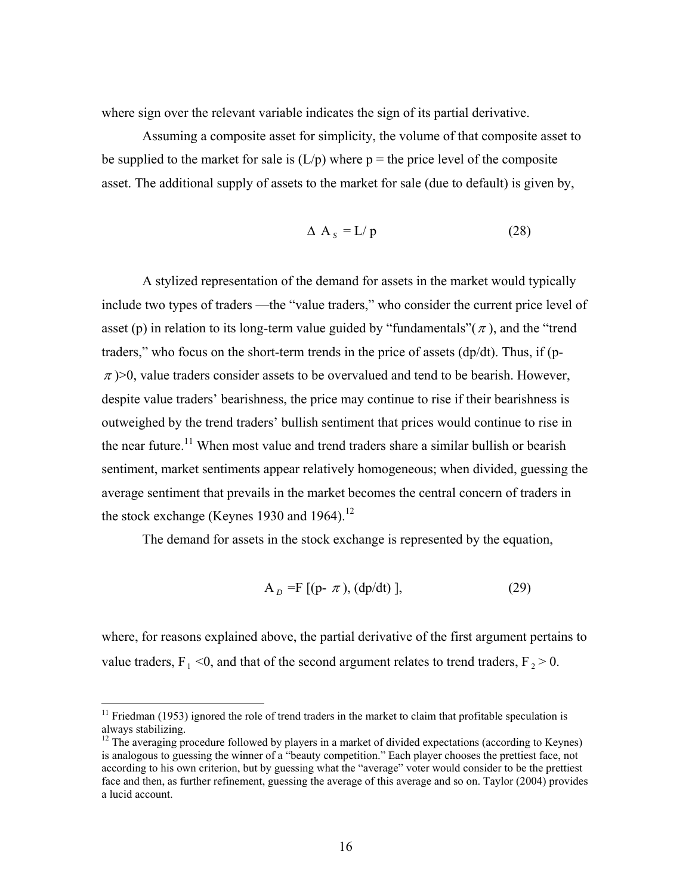where sign over the relevant variable indicates the sign of its partial derivative.

Assuming a composite asset for simplicity, the volume of that composite asset to be supplied to the market for sale is  $(L/p)$  where  $p =$  the price level of the composite asset. The additional supply of assets to the market for sale (due to default) is given by,

$$
\Delta A_s = L/p \tag{28}
$$

A stylized representation of the demand for assets in the market would typically include two types of traders —the "value traders," who consider the current price level of asset (p) in relation to its long-term value guided by "fundamentals" $(\pi)$ , and the "trend" traders," who focus on the short-term trends in the price of assets (dp/dt). Thus, if (p- $\pi$ ) $>0$ , value traders consider assets to be overvalued and tend to be bearish. However, despite value traders' bearishness, the price may continue to rise if their bearishness is outweighed by the trend traders' bullish sentiment that prices would continue to rise in the near future.<sup>11</sup> When most value and trend traders share a similar bullish or bearish sentiment, market sentiments appear relatively homogeneous; when divided, guessing the average sentiment that prevails in the market becomes the central concern of traders in the stock exchange (Keynes 1930 and 1964).<sup>12</sup>

The demand for assets in the stock exchange is represented by the equation,

$$
A_{D} = F [(p - \pi), (dp/dt)], \qquad (29)
$$

where, for reasons explained above, the partial derivative of the first argument pertains to value traders,  $F_1$  <0, and that of the second argument relates to trend traders,  $F_2$  > 0.

 $11$  Friedman (1953) ignored the role of trend traders in the market to claim that profitable speculation is always stabilizing.

 $12$  The averaging procedure followed by players in a market of divided expectations (according to Keynes) is analogous to guessing the winner of a "beauty competition." Each player chooses the prettiest face, not according to his own criterion, but by guessing what the "average" voter would consider to be the prettiest face and then, as further refinement, guessing the average of this average and so on. Taylor (2004) provides a lucid account.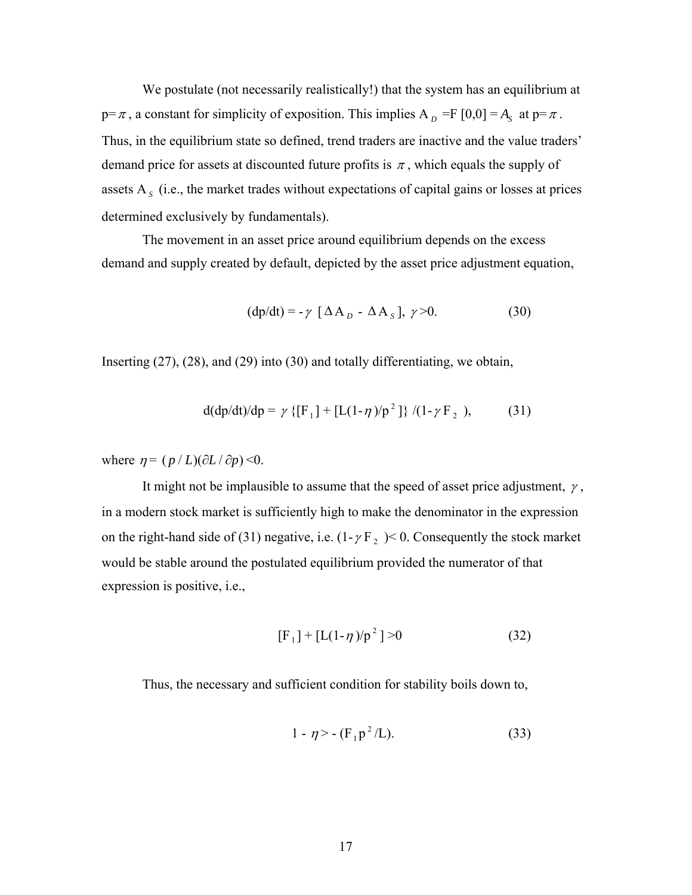We postulate (not necessarily realistically!) that the system has an equilibrium at  $p=\pi$ , a constant for simplicity of exposition. This implies  $A_p = F[0,0] = A_s$  at  $p=\pi$ . Thus, in the equilibrium state so defined, trend traders are inactive and the value traders' demand price for assets at discounted future profits is  $\pi$ , which equals the supply of assets A<sub>s</sub> (i.e., the market trades without expectations of capital gains or losses at prices determined exclusively by fundamentals).

The movement in an asset price around equilibrium depends on the excess demand and supply created by default, depicted by the asset price adjustment equation,

$$
(\text{dp/dt}) = -\gamma \left[ \Delta A_D - \Delta A_S \right], \gamma > 0. \tag{30}
$$

Inserting (27), (28), and (29) into (30) and totally differentiating, we obtain,

$$
d(dp/dt)/dp = \gamma \{[F_1] + [L(1-\eta)/p^2]\} / (1-\gamma F_2),
$$
 (31)

where  $\eta = (p / L)(\partial L / \partial p) \le 0$ .

It might not be implausible to assume that the speed of asset price adjustment,  $\gamma$ , in a modern stock market is sufficiently high to make the denominator in the expression on the right-hand side of (31) negative, i.e.  $(1-\gamma F_2)$  < 0. Consequently the stock market would be stable around the postulated equilibrium provided the numerator of that expression is positive, i.e.,

$$
[F_1] + [L(1-\eta)/p^2] > 0 \tag{32}
$$

Thus, the necessary and sufficient condition for stability boils down to,

$$
1 - \eta > - (F_1 p^2 / L). \tag{33}
$$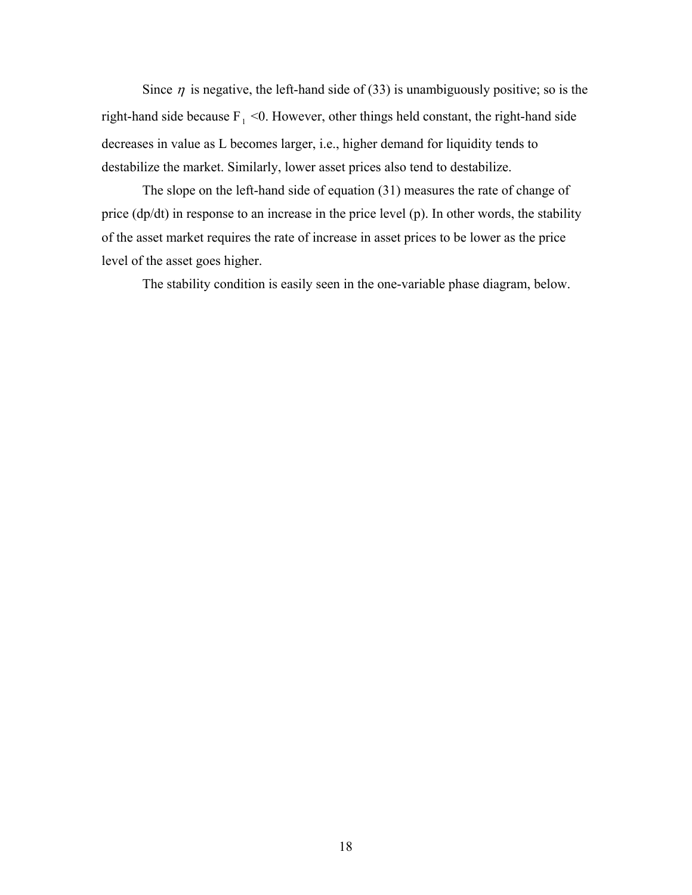Since  $\eta$  is negative, the left-hand side of (33) is unambiguously positive; so is the right-hand side because  $F_1$  <0. However, other things held constant, the right-hand side decreases in value as L becomes larger, i.e., higher demand for liquidity tends to destabilize the market. Similarly, lower asset prices also tend to destabilize.

The slope on the left-hand side of equation (31) measures the rate of change of price (dp/dt) in response to an increase in the price level (p). In other words, the stability of the asset market requires the rate of increase in asset prices to be lower as the price level of the asset goes higher.

The stability condition is easily seen in the one-variable phase diagram, below.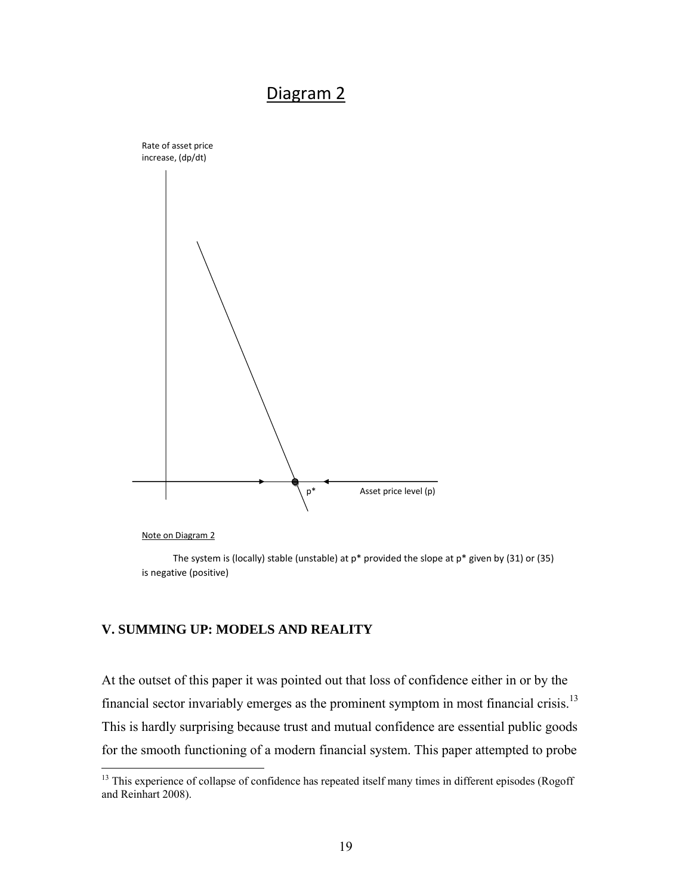# Diagram 2



Note on Diagram 2

 $\overline{a}$ 

The system is (locally) stable (unstable) at  $p^*$  provided the slope at  $p^*$  given by (31) or (35) is negative (positive)

## **V. SUMMING UP: MODELS AND REALITY**

At the outset of this paper it was pointed out that loss of confidence either in or by the financial sector invariably emerges as the prominent symptom in most financial crisis.<sup>13</sup> This is hardly surprising because trust and mutual confidence are essential public goods for the smooth functioning of a modern financial system. This paper attempted to probe

<sup>&</sup>lt;sup>13</sup> This experience of collapse of confidence has repeated itself many times in different episodes (Rogoff and Reinhart 2008).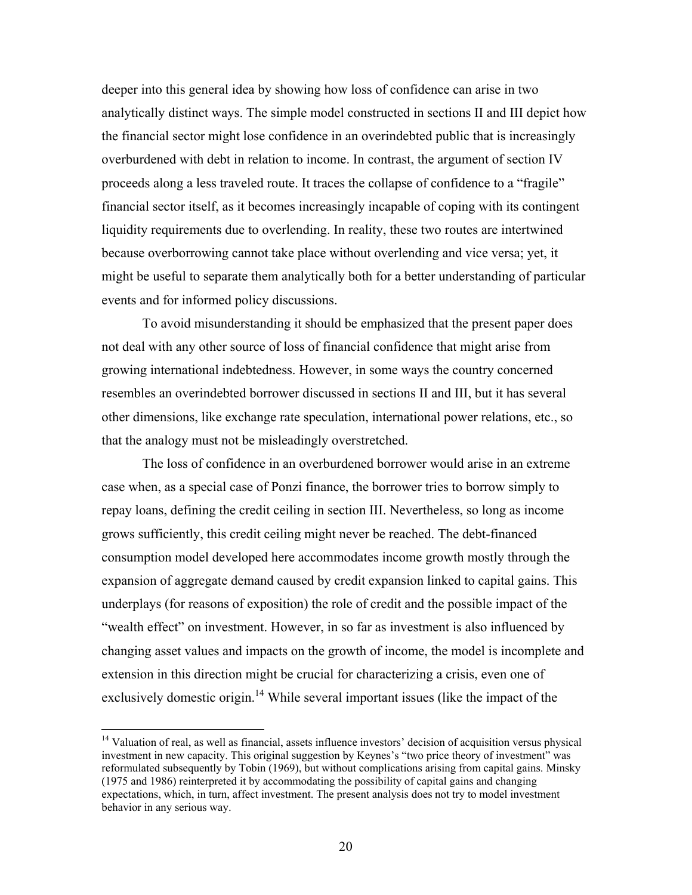deeper into this general idea by showing how loss of confidence can arise in two analytically distinct ways. The simple model constructed in sections II and III depict how the financial sector might lose confidence in an overindebted public that is increasingly overburdened with debt in relation to income. In contrast, the argument of section IV proceeds along a less traveled route. It traces the collapse of confidence to a "fragile" financial sector itself, as it becomes increasingly incapable of coping with its contingent liquidity requirements due to overlending. In reality, these two routes are intertwined because overborrowing cannot take place without overlending and vice versa; yet, it might be useful to separate them analytically both for a better understanding of particular events and for informed policy discussions.

To avoid misunderstanding it should be emphasized that the present paper does not deal with any other source of loss of financial confidence that might arise from growing international indebtedness. However, in some ways the country concerned resembles an overindebted borrower discussed in sections II and III, but it has several other dimensions, like exchange rate speculation, international power relations, etc., so that the analogy must not be misleadingly overstretched.

The loss of confidence in an overburdened borrower would arise in an extreme case when, as a special case of Ponzi finance, the borrower tries to borrow simply to repay loans, defining the credit ceiling in section III. Nevertheless, so long as income grows sufficiently, this credit ceiling might never be reached. The debt-financed consumption model developed here accommodates income growth mostly through the expansion of aggregate demand caused by credit expansion linked to capital gains. This underplays (for reasons of exposition) the role of credit and the possible impact of the "wealth effect" on investment. However, in so far as investment is also influenced by changing asset values and impacts on the growth of income, the model is incomplete and extension in this direction might be crucial for characterizing a crisis, even one of exclusively domestic origin.<sup>14</sup> While several important issues (like the impact of the

1

<sup>&</sup>lt;sup>14</sup> Valuation of real, as well as financial, assets influence investors' decision of acquisition versus physical investment in new capacity. This original suggestion by Keynes's "two price theory of investment" was reformulated subsequently by Tobin (1969), but without complications arising from capital gains. Minsky (1975 and 1986) reinterpreted it by accommodating the possibility of capital gains and changing expectations, which, in turn, affect investment. The present analysis does not try to model investment behavior in any serious way.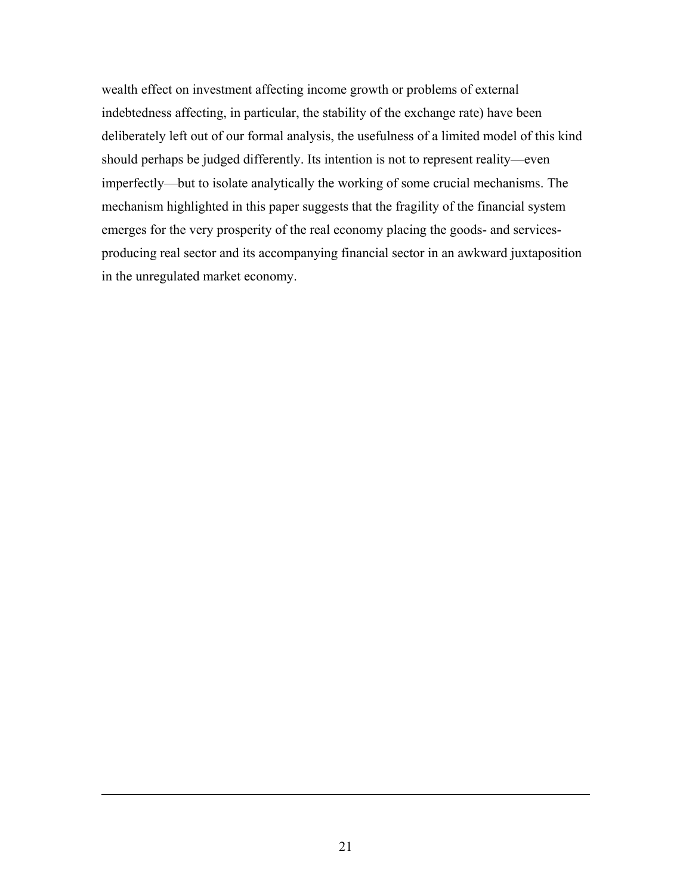wealth effect on investment affecting income growth or problems of external indebtedness affecting, in particular, the stability of the exchange rate) have been deliberately left out of our formal analysis, the usefulness of a limited model of this kind should perhaps be judged differently. Its intention is not to represent reality—even imperfectly—but to isolate analytically the working of some crucial mechanisms. The mechanism highlighted in this paper suggests that the fragility of the financial system emerges for the very prosperity of the real economy placing the goods- and servicesproducing real sector and its accompanying financial sector in an awkward juxtaposition in the unregulated market economy.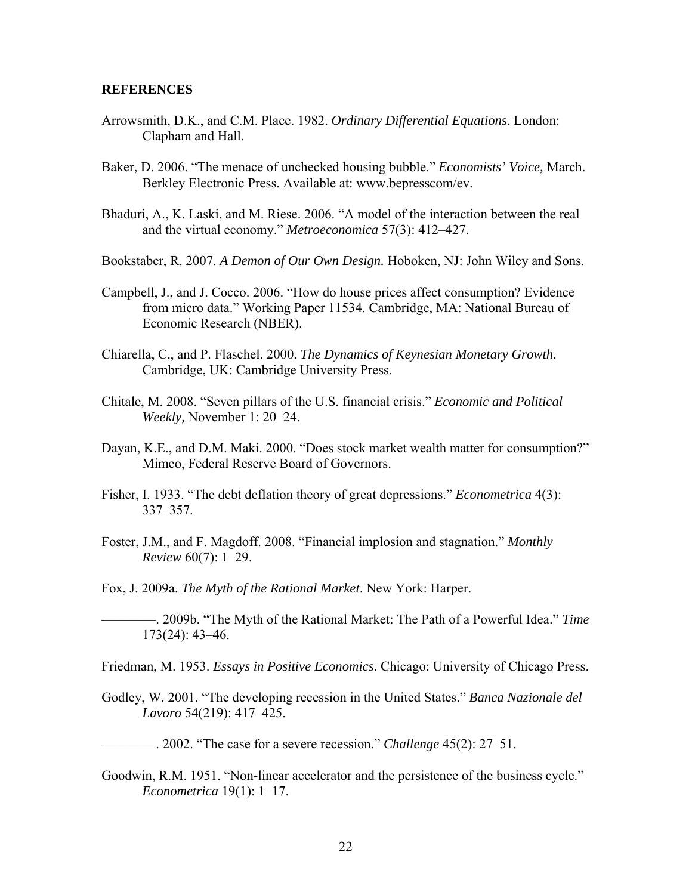#### **REFERENCES**

- Arrowsmith, D.K., and C.M. Place. 1982. *Ordinary Differential Equations*. London: Clapham and Hall.
- Baker, D. 2006. "The menace of unchecked housing bubble." *Economists' Voice,* March. Berkley Electronic Press. Available at: www.bepresscom/ev.
- Bhaduri, A., K. Laski, and M. Riese. 2006. "A model of the interaction between the real and the virtual economy." *Metroeconomica* 57(3): 412–427.
- Bookstaber, R. 2007. *A Demon of Our Own Design.* Hoboken, NJ: John Wiley and Sons.
- Campbell, J., and J. Cocco. 2006. "How do house prices affect consumption? Evidence from micro data." Working Paper 11534. Cambridge, MA: National Bureau of Economic Research (NBER).
- Chiarella, C., and P. Flaschel. 2000. *The Dynamics of Keynesian Monetary Growth*. Cambridge, UK: Cambridge University Press.
- Chitale, M. 2008. "Seven pillars of the U.S. financial crisis." *Economic and Political Weekly,* November 1: 20–24.
- Dayan, K.E., and D.M. Maki. 2000. "Does stock market wealth matter for consumption?" Mimeo, Federal Reserve Board of Governors.
- Fisher, I. 1933. "The debt deflation theory of great depressions." *Econometrica* 4(3): 337–357.
- Foster, J.M., and F. Magdoff. 2008. "Financial implosion and stagnation." *Monthly Review* 60(7): 1–29.
- Fox, J. 2009a. *The Myth of the Rational Market*. New York: Harper.
- ————. 2009b. "The Myth of the Rational Market: The Path of a Powerful Idea." *Time*  173(24): 43–46.

Friedman, M. 1953. *Essays in Positive Economics*. Chicago: University of Chicago Press.

Godley, W. 2001. "The developing recession in the United States." *Banca Nazionale del Lavoro* 54(219): 417–425.

————. 2002. "The case for a severe recession." *Challenge* 45(2): 27–51.

Goodwin, R.M. 1951. "Non-linear accelerator and the persistence of the business cycle." *Econometrica* 19(1): 1–17.